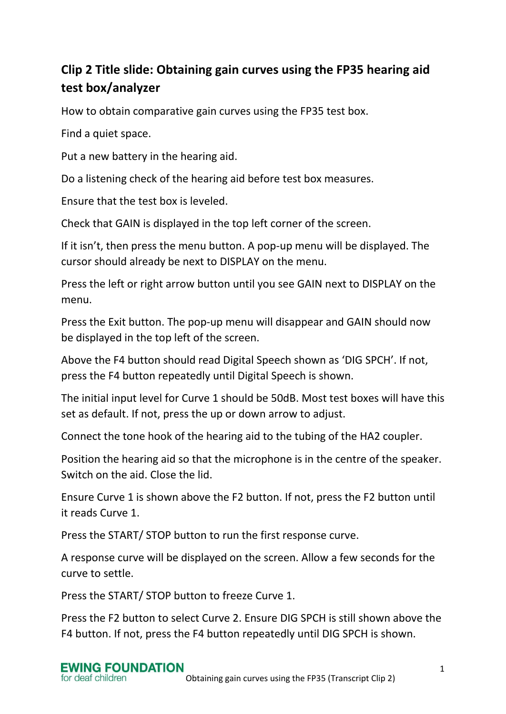## **Clip 2 Title slide: Obtaining gain curves using the FP35 hearing aid test box/analyzer**

How to obtain comparative gain curves using the FP35 test box.

Find a quiet space.

Put a new battery in the hearing aid.

Do a listening check of the hearing aid before test box measures.

Ensure that the test box is leveled.

Check that GAIN is displayed in the top left corner of the screen.

If it isn't, then press the menu button. A pop-up menu will be displayed. The cursor should already be next to DISPLAY on the menu.

Press the left or right arrow button until you see GAIN next to DISPLAY on the menu.

Press the Exit button. The pop-up menu will disappear and GAIN should now be displayed in the top left of the screen.

Above the F4 button should read Digital Speech shown as 'DIG SPCH'. If not, press the F4 button repeatedly until Digital Speech is shown.

The initial input level for Curve 1 should be 50dB. Most test boxes will have this set as default. If not, press the up or down arrow to adjust.

Connect the tone hook of the hearing aid to the tubing of the HA2 coupler.

Position the hearing aid so that the microphone is in the centre of the speaker. Switch on the aid. Close the lid.

Ensure Curve 1 is shown above the F2 button. If not, press the F2 button until it reads Curve 1.

Press the START/ STOP button to run the first response curve.

A response curve will be displayed on the screen. Allow a few seconds for the curve to settle.

Press the START/ STOP button to freeze Curve 1.

Press the F2 button to select Curve 2. Ensure DIG SPCH is still shown above the F4 button. If not, press the F4 button repeatedly until DIG SPCH is shown.

## **EWING FOUNDATION** for deaf children